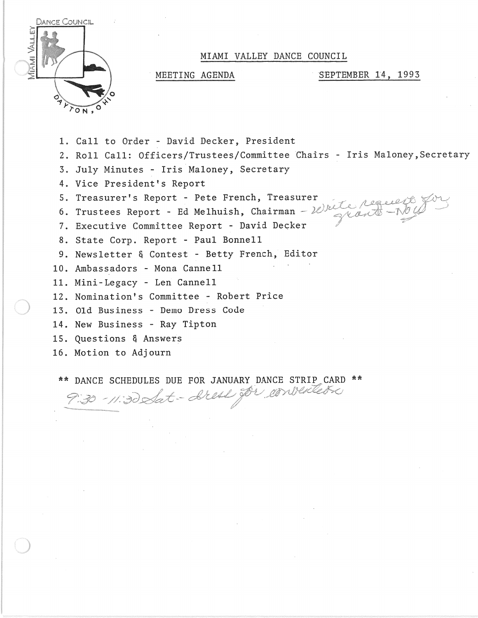

## MIAMI VALLEY DANCE COUNCIL

MEETING AGENDA SEPTEMBER 14, 1993

- 1. Call to Order David Decker, President
- 2. Roll Call: Officers/Trustees/Committee Chairs Iris Maloney,Secretary
- 3. July Minutes Iris Maloney, Secretary
- 4. Vice President's Report
- 5. Treasurer's Report Pete French, Treasurer
- 6. Trustees Report Ed Melhuish, Chairman Write requests
- 7. Executive Committee Report David Decker
- 8. State Corp. Report Paul Bonnell
- 9. Newsletter & Contest Betty French, Editor
- 10. Ambassadors Mona Cannell
- 11. Mini-Legacy Len Cannell
- 12. Nomination's Committee Robert Price
- 13. Old Business Demo Dress Code
- 14. New Business Ray Tipton
- 15. Questions & Answers
- 16. Motion to Adjourn

\*\* DANCE SCHEDULES DUE FOR JANUARY DANCE STRIP CARD \*\*<br>230 - 11:30 Slot - Steel Jor en verledre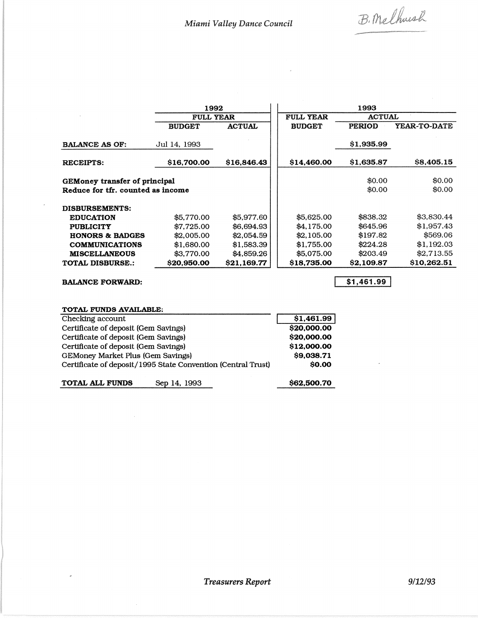B. Methush

**محجورین** 

|                                                                    | 1992             |               | 1993             |                  |                  |  |
|--------------------------------------------------------------------|------------------|---------------|------------------|------------------|------------------|--|
|                                                                    | <b>FULL YEAR</b> |               | <b>FULL YEAR</b> | <b>ACTUAL</b>    |                  |  |
|                                                                    | <b>BUDGET</b>    | <b>ACTUAL</b> | <b>BUDGET</b>    | <b>PERIOD</b>    | YEAR-TO-DATE     |  |
| <b>BALANCE AS OF:</b>                                              | Jul 14, 1993     |               |                  | \$1,935.99       |                  |  |
| <b>RECEIPTS:</b>                                                   | \$16,700.00      | \$16,846.43   | \$14,460.00      | \$1,635.87       | \$8,405.15       |  |
| GEMoney transfer of principal<br>Reduce for tfr. counted as income |                  |               |                  | \$0.00<br>\$0.00 | \$0.00<br>\$0.00 |  |
| DISBURSEMENTS:                                                     |                  |               |                  |                  |                  |  |
| <b>EDUCATION</b>                                                   | \$5,770.00       | \$5,977.60    | \$5,625,00       | \$838.32         | \$3,830.44       |  |
| <b>PUBLICITY</b>                                                   | \$7,725.00       | \$6,694.93    | \$4,175.00       | \$645.96         | \$1,957.43       |  |
| <b>HONORS &amp; BADGES</b>                                         | \$2,005.00       | \$2,054.59    | \$2,105.00       | \$197.82         | \$569.06         |  |
| <b>COMMUNICATIONS</b>                                              | \$1,680.00       | \$1,583.39    | \$1,755.00       | \$224.28         | \$1,192.03       |  |
| <b>MISCELLANEOUS</b>                                               | \$3,770.00       | \$4,859.26    | \$5,075.00       | \$203.49         | \$2,713.55       |  |
| <b>TOTAL DISBURSE.:</b>                                            | \$20,950.00      | \$21.169.77   | \$18,735.00      | \$2,109.87       | \$10,262.51      |  |

BALANCE FORWARD:

 $\overline{a}$ 

 $$1,461.99$ 

## TOTAL FUNDS AVAILABLE:

| Checking account                                             | \$1,461.99  |
|--------------------------------------------------------------|-------------|
| Certificate of deposit (Gem Savings)                         | \$20,000.00 |
| Certificate of deposit (Gem Savings)                         | \$20,000.00 |
| Certificate of deposit (Gem Savings)                         | \$12,000.00 |
| GEMoney Market Plus (Gem Savings)                            | \$9,038.71  |
| Certificate of deposit/1995 State Convention (Central Trust) | \$0.00      |
| <b>TOTAL ALL FUNDS</b><br>Sep 14, 1993                       | \$62,500.70 |

TOTAL ALL FUNDS Sep 14, 1993

 $\bar{\lambda}$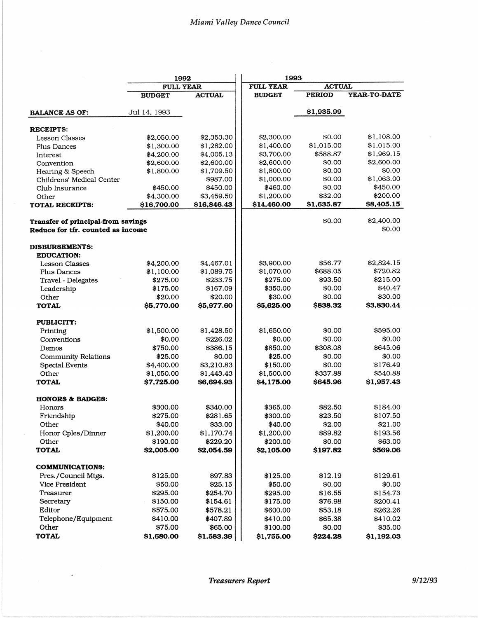| <b>FULL YEAR</b><br><b>ACTUAL</b><br><b>FULL YEAR</b><br><b>ACTUAL</b><br><b>PERIOD</b><br><b>BUDGET</b><br><b>BUDGET</b><br>\$1,935.99<br>Jul 14, 1993<br><b>BALANCE AS OF:</b><br><b>RECEIPTS:</b><br>\$0.00<br>\$1,108.00<br>\$2,353.30<br>\$2,300.00<br>\$2,050.00<br><b>Lesson Classes</b><br>\$1,015.00<br>\$1,400.00<br>\$1,015.00<br>\$1,300.00<br>\$1,282.00<br>Plus Dances<br>\$1,969.15<br>\$4,005.13<br>\$3,700.00<br>\$588.87<br>\$4,200.00<br>Interest<br>\$2,600.00<br>\$2,600.00<br>\$0.00<br>\$2,600.00<br>\$2,600.00<br>Convention<br>\$0.00<br>\$0.00<br>\$1,709.50<br>\$1,800.00<br>\$1,800.00<br>Hearing & Speech<br>\$1,063.00<br>\$0.00<br>\$987.00<br>\$1,000.00<br>Childrens' Medical Center<br>\$450.00<br>\$0.00<br>\$450.00<br>\$450.00<br>\$460.00<br>Club Insurance<br>\$200.00<br>\$1,200.00<br>\$32.00<br>\$4,300.00<br>\$3,459.50<br>Other<br>\$14,460.00<br>\$1,635.87<br>\$16,700.00<br>\$16,846.43<br><b>TOTAL RECEIPTS:</b><br>\$0.00<br>Transfer of principal-from savings<br>\$0.00<br>Reduce for tfr. counted as income<br><b>DISBURSEMENTS:</b><br><b>EDUCATION:</b><br>\$3,900.00<br>\$56.77<br>\$4,467.01<br><b>Lesson Classes</b><br>\$4,200.00<br>\$688.05<br>\$1,100.00<br>\$1,089.75<br>\$1,070.00<br>Plus Dances<br>\$215.00<br>\$93.50<br>\$233.75<br>\$275.00<br>Travel - Delegates<br>\$275.00 |            | 1992     |          | 1993     |        |                     |
|---------------------------------------------------------------------------------------------------------------------------------------------------------------------------------------------------------------------------------------------------------------------------------------------------------------------------------------------------------------------------------------------------------------------------------------------------------------------------------------------------------------------------------------------------------------------------------------------------------------------------------------------------------------------------------------------------------------------------------------------------------------------------------------------------------------------------------------------------------------------------------------------------------------------------------------------------------------------------------------------------------------------------------------------------------------------------------------------------------------------------------------------------------------------------------------------------------------------------------------------------------------------------------------------------------------------------------------------------|------------|----------|----------|----------|--------|---------------------|
|                                                                                                                                                                                                                                                                                                                                                                                                                                                                                                                                                                                                                                                                                                                                                                                                                                                                                                                                                                                                                                                                                                                                                                                                                                                                                                                                                   |            |          |          |          |        |                     |
|                                                                                                                                                                                                                                                                                                                                                                                                                                                                                                                                                                                                                                                                                                                                                                                                                                                                                                                                                                                                                                                                                                                                                                                                                                                                                                                                                   |            |          |          |          |        | <b>YEAR-TO-DATE</b> |
|                                                                                                                                                                                                                                                                                                                                                                                                                                                                                                                                                                                                                                                                                                                                                                                                                                                                                                                                                                                                                                                                                                                                                                                                                                                                                                                                                   |            |          |          |          |        |                     |
|                                                                                                                                                                                                                                                                                                                                                                                                                                                                                                                                                                                                                                                                                                                                                                                                                                                                                                                                                                                                                                                                                                                                                                                                                                                                                                                                                   |            |          |          |          |        |                     |
|                                                                                                                                                                                                                                                                                                                                                                                                                                                                                                                                                                                                                                                                                                                                                                                                                                                                                                                                                                                                                                                                                                                                                                                                                                                                                                                                                   |            |          |          |          |        |                     |
|                                                                                                                                                                                                                                                                                                                                                                                                                                                                                                                                                                                                                                                                                                                                                                                                                                                                                                                                                                                                                                                                                                                                                                                                                                                                                                                                                   |            |          |          |          |        |                     |
|                                                                                                                                                                                                                                                                                                                                                                                                                                                                                                                                                                                                                                                                                                                                                                                                                                                                                                                                                                                                                                                                                                                                                                                                                                                                                                                                                   |            |          |          |          |        |                     |
|                                                                                                                                                                                                                                                                                                                                                                                                                                                                                                                                                                                                                                                                                                                                                                                                                                                                                                                                                                                                                                                                                                                                                                                                                                                                                                                                                   |            |          |          |          |        |                     |
|                                                                                                                                                                                                                                                                                                                                                                                                                                                                                                                                                                                                                                                                                                                                                                                                                                                                                                                                                                                                                                                                                                                                                                                                                                                                                                                                                   |            |          |          |          |        |                     |
|                                                                                                                                                                                                                                                                                                                                                                                                                                                                                                                                                                                                                                                                                                                                                                                                                                                                                                                                                                                                                                                                                                                                                                                                                                                                                                                                                   |            |          |          |          |        |                     |
|                                                                                                                                                                                                                                                                                                                                                                                                                                                                                                                                                                                                                                                                                                                                                                                                                                                                                                                                                                                                                                                                                                                                                                                                                                                                                                                                                   |            |          |          |          |        |                     |
|                                                                                                                                                                                                                                                                                                                                                                                                                                                                                                                                                                                                                                                                                                                                                                                                                                                                                                                                                                                                                                                                                                                                                                                                                                                                                                                                                   |            |          |          |          |        |                     |
|                                                                                                                                                                                                                                                                                                                                                                                                                                                                                                                                                                                                                                                                                                                                                                                                                                                                                                                                                                                                                                                                                                                                                                                                                                                                                                                                                   |            |          |          |          |        | \$8,405.15          |
|                                                                                                                                                                                                                                                                                                                                                                                                                                                                                                                                                                                                                                                                                                                                                                                                                                                                                                                                                                                                                                                                                                                                                                                                                                                                                                                                                   |            |          |          |          |        | \$2,400.00          |
|                                                                                                                                                                                                                                                                                                                                                                                                                                                                                                                                                                                                                                                                                                                                                                                                                                                                                                                                                                                                                                                                                                                                                                                                                                                                                                                                                   |            |          |          |          |        |                     |
|                                                                                                                                                                                                                                                                                                                                                                                                                                                                                                                                                                                                                                                                                                                                                                                                                                                                                                                                                                                                                                                                                                                                                                                                                                                                                                                                                   |            |          |          |          |        |                     |
|                                                                                                                                                                                                                                                                                                                                                                                                                                                                                                                                                                                                                                                                                                                                                                                                                                                                                                                                                                                                                                                                                                                                                                                                                                                                                                                                                   |            |          |          |          |        | \$2,824.15          |
|                                                                                                                                                                                                                                                                                                                                                                                                                                                                                                                                                                                                                                                                                                                                                                                                                                                                                                                                                                                                                                                                                                                                                                                                                                                                                                                                                   |            |          |          |          |        | \$720.82            |
|                                                                                                                                                                                                                                                                                                                                                                                                                                                                                                                                                                                                                                                                                                                                                                                                                                                                                                                                                                                                                                                                                                                                                                                                                                                                                                                                                   |            |          |          |          |        |                     |
|                                                                                                                                                                                                                                                                                                                                                                                                                                                                                                                                                                                                                                                                                                                                                                                                                                                                                                                                                                                                                                                                                                                                                                                                                                                                                                                                                   | Leadership | \$175.00 | \$167.09 | \$350.00 | \$0.00 | \$40.47             |
| \$0.00<br>\$20.00<br>\$20.00<br>\$30.00<br>Other                                                                                                                                                                                                                                                                                                                                                                                                                                                                                                                                                                                                                                                                                                                                                                                                                                                                                                                                                                                                                                                                                                                                                                                                                                                                                                  |            |          |          |          |        | \$30.00             |
| \$5,625.00<br>\$838.32<br>\$5,770.00<br>\$5,977.60<br><b>TOTAL</b>                                                                                                                                                                                                                                                                                                                                                                                                                                                                                                                                                                                                                                                                                                                                                                                                                                                                                                                                                                                                                                                                                                                                                                                                                                                                                |            |          |          |          |        | <b>S3,830.44</b>    |
| <b>PUBLICITY:</b>                                                                                                                                                                                                                                                                                                                                                                                                                                                                                                                                                                                                                                                                                                                                                                                                                                                                                                                                                                                                                                                                                                                                                                                                                                                                                                                                 |            |          |          |          |        |                     |
| \$1,650.00<br>\$0.00<br>\$1,500.00<br>\$1,428.50<br>Printing                                                                                                                                                                                                                                                                                                                                                                                                                                                                                                                                                                                                                                                                                                                                                                                                                                                                                                                                                                                                                                                                                                                                                                                                                                                                                      |            |          |          |          |        | \$595.00            |
| \$0.00<br>\$0.00<br>\$226.02<br>\$0.00<br>Conventions                                                                                                                                                                                                                                                                                                                                                                                                                                                                                                                                                                                                                                                                                                                                                                                                                                                                                                                                                                                                                                                                                                                                                                                                                                                                                             |            |          |          |          |        | \$0.00              |
| \$386.15<br>\$850.00<br>\$308.08<br>\$750.00<br>Demos                                                                                                                                                                                                                                                                                                                                                                                                                                                                                                                                                                                                                                                                                                                                                                                                                                                                                                                                                                                                                                                                                                                                                                                                                                                                                             |            |          |          |          |        | \$645.06            |
| <b>Community Relations</b><br>\$25.00<br>\$0.00<br>\$25.00<br>\$0.00                                                                                                                                                                                                                                                                                                                                                                                                                                                                                                                                                                                                                                                                                                                                                                                                                                                                                                                                                                                                                                                                                                                                                                                                                                                                              |            |          |          |          |        | \$0.00              |
| \$4,400.00<br>\$3,210.83<br>\$150.00<br>\$0.00<br>Special Events                                                                                                                                                                                                                                                                                                                                                                                                                                                                                                                                                                                                                                                                                                                                                                                                                                                                                                                                                                                                                                                                                                                                                                                                                                                                                  |            |          |          |          |        | \$176.49            |
| Other<br>\$1,050.00<br>\$1,443.43<br>\$337.88<br>\$1,500.00                                                                                                                                                                                                                                                                                                                                                                                                                                                                                                                                                                                                                                                                                                                                                                                                                                                                                                                                                                                                                                                                                                                                                                                                                                                                                       |            |          |          |          |        | \$540.88            |
| \$7,725.00<br>\$6,694.93<br>\$4,175.00<br>\$645.96<br><b>TOTAL</b>                                                                                                                                                                                                                                                                                                                                                                                                                                                                                                                                                                                                                                                                                                                                                                                                                                                                                                                                                                                                                                                                                                                                                                                                                                                                                |            |          |          |          |        | \$1,957.43          |
| <b>HONORS &amp; BADGES:</b>                                                                                                                                                                                                                                                                                                                                                                                                                                                                                                                                                                                                                                                                                                                                                                                                                                                                                                                                                                                                                                                                                                                                                                                                                                                                                                                       |            |          |          |          |        |                     |
| \$300.00<br>\$340.00<br>\$365.00<br>\$82.50<br>Honors                                                                                                                                                                                                                                                                                                                                                                                                                                                                                                                                                                                                                                                                                                                                                                                                                                                                                                                                                                                                                                                                                                                                                                                                                                                                                             |            |          |          |          |        | \$184.00            |
| \$281.65<br>Friendship<br>\$275.00<br>\$300.00<br>\$23.50                                                                                                                                                                                                                                                                                                                                                                                                                                                                                                                                                                                                                                                                                                                                                                                                                                                                                                                                                                                                                                                                                                                                                                                                                                                                                         |            |          |          |          |        | \$107.50            |
| \$40.00<br>\$33.00<br>\$40.00<br>\$2.00<br>Other                                                                                                                                                                                                                                                                                                                                                                                                                                                                                                                                                                                                                                                                                                                                                                                                                                                                                                                                                                                                                                                                                                                                                                                                                                                                                                  |            |          |          |          |        | \$21.00             |
| \$1,170.74<br>\$1,200.00<br>\$89.82<br>Honor Cples/Dinner<br>\$1,200.00                                                                                                                                                                                                                                                                                                                                                                                                                                                                                                                                                                                                                                                                                                                                                                                                                                                                                                                                                                                                                                                                                                                                                                                                                                                                           |            |          |          |          |        | \$193.56            |
| \$229.20<br>\$0.00<br>Other<br>\$190.00<br>\$200.00                                                                                                                                                                                                                                                                                                                                                                                                                                                                                                                                                                                                                                                                                                                                                                                                                                                                                                                                                                                                                                                                                                                                                                                                                                                                                               |            |          |          |          |        | \$63.00             |
| <b>TOTAL</b><br>\$2,005.00<br>\$2,054.59<br><b>\$2,105.00</b><br>\$197.82                                                                                                                                                                                                                                                                                                                                                                                                                                                                                                                                                                                                                                                                                                                                                                                                                                                                                                                                                                                                                                                                                                                                                                                                                                                                         |            |          |          |          |        | \$569.06            |
| <b>COMMUNICATIONS:</b>                                                                                                                                                                                                                                                                                                                                                                                                                                                                                                                                                                                                                                                                                                                                                                                                                                                                                                                                                                                                                                                                                                                                                                                                                                                                                                                            |            |          |          |          |        |                     |
| \$97.83<br>Pres./Council Mtgs.<br>\$125.00<br>\$125.00<br>\$12.19                                                                                                                                                                                                                                                                                                                                                                                                                                                                                                                                                                                                                                                                                                                                                                                                                                                                                                                                                                                                                                                                                                                                                                                                                                                                                 |            |          |          |          |        | \$129.61            |
| \$0.00<br>Vice President<br>\$50.00<br>\$25.15<br>\$50.00                                                                                                                                                                                                                                                                                                                                                                                                                                                                                                                                                                                                                                                                                                                                                                                                                                                                                                                                                                                                                                                                                                                                                                                                                                                                                         |            |          |          |          |        | \$0.00              |
| Treasurer<br>\$295.00<br>\$254.70<br>\$295.00<br>\$16.55                                                                                                                                                                                                                                                                                                                                                                                                                                                                                                                                                                                                                                                                                                                                                                                                                                                                                                                                                                                                                                                                                                                                                                                                                                                                                          |            |          |          |          |        | \$154.73            |
| \$154.61<br>Secretary<br>\$150.00<br>\$175.00<br>\$76.98                                                                                                                                                                                                                                                                                                                                                                                                                                                                                                                                                                                                                                                                                                                                                                                                                                                                                                                                                                                                                                                                                                                                                                                                                                                                                          |            |          |          |          |        | \$200.41            |
| Editor<br>\$578.21<br>\$575.00<br>\$600.00<br>\$53.18                                                                                                                                                                                                                                                                                                                                                                                                                                                                                                                                                                                                                                                                                                                                                                                                                                                                                                                                                                                                                                                                                                                                                                                                                                                                                             |            |          |          |          |        | \$262.26            |
| Telephone/Equipment<br>\$410.00<br>\$407.89<br>\$65.38<br>\$410.00                                                                                                                                                                                                                                                                                                                                                                                                                                                                                                                                                                                                                                                                                                                                                                                                                                                                                                                                                                                                                                                                                                                                                                                                                                                                                |            |          |          |          |        | \$410.02            |
| Other<br>\$75.00<br>\$65.00<br>\$0.00<br>\$100.00                                                                                                                                                                                                                                                                                                                                                                                                                                                                                                                                                                                                                                                                                                                                                                                                                                                                                                                                                                                                                                                                                                                                                                                                                                                                                                 |            |          |          |          |        | \$35.00             |
| <b>TOTAL</b><br>\$1,583.39<br>\$1,680.00<br>\$1,755.00<br>\$224.28                                                                                                                                                                                                                                                                                                                                                                                                                                                                                                                                                                                                                                                                                                                                                                                                                                                                                                                                                                                                                                                                                                                                                                                                                                                                                |            |          |          |          |        | \$1,192.03          |

 $\sim$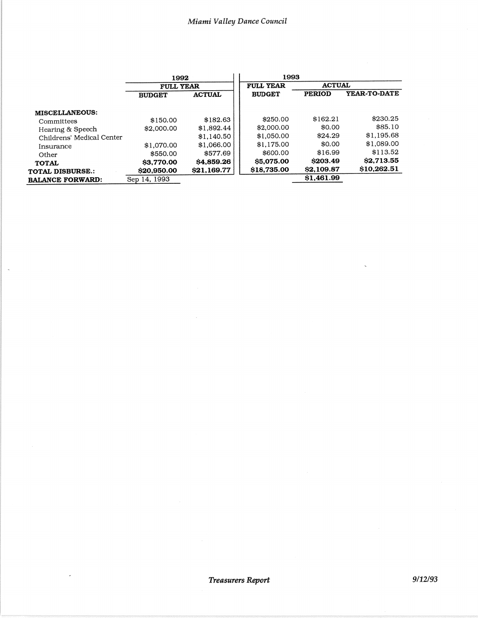|                           | 1992<br><b>FULL YEAR</b> |                   | 1993             |               |                     |
|---------------------------|--------------------------|-------------------|------------------|---------------|---------------------|
|                           |                          |                   | <b>FULL YEAR</b> | <b>ACTUAL</b> |                     |
|                           | <b>BUDGET</b>            | <b>ACTUAL</b>     | <b>BUDGET</b>    | <b>PERIOD</b> | <b>YEAR-TO-DATE</b> |
| <b>MISCELLANEOUS:</b>     |                          |                   |                  |               |                     |
| Committees                | \$150.00                 | \$182.63          | \$250.00         | \$162.21      | \$230.25            |
| Hearing & Speech          | \$2,000.00               | \$1,892.44        | \$2,000.00       | \$0.00        | \$85.10             |
| Childrens' Medical Center |                          | \$1,140.50        | \$1,050.00       | \$24.29       | \$1,195.68          |
| Insurance                 | \$1,070.00               | \$1,066.00        | \$1.175.00       | \$0.00        | \$1,089.00          |
| Other                     | \$550.00                 | \$577.69          | \$600.00         | \$16.99       | \$113.52            |
| <b>TOTAL</b>              | <b>S3,770.00</b>         | \$4,859.26        | \$5,075.00       | S203.49       | \$2,713.55          |
| <b>TOTAL DISBURSE.:</b>   | \$20,950.00              | <b>S21.169.77</b> | \$18,735.00      | \$2,109.87    | \$10,262.51         |
| <b>BALANCE FORWARD:</b>   | Sep 14, 1993             |                   |                  | \$1,461.99    |                     |

l,

 $\overline{a}$